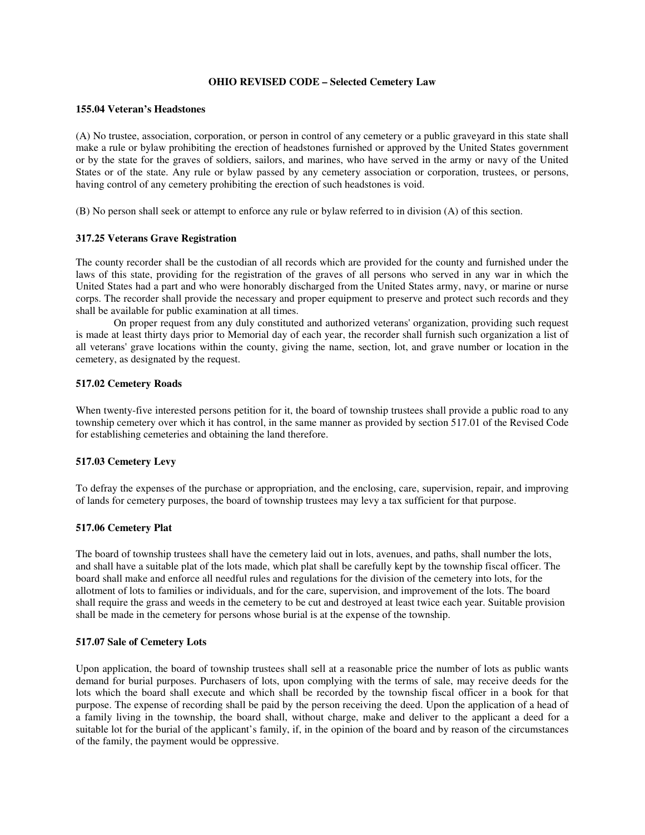## **OHIO REVISED CODE – Selected Cemetery Law**

#### **155.04 Veteran's Headstones**

(A) No trustee, association, corporation, or person in control of any cemetery or a public graveyard in this state shall make a rule or bylaw prohibiting the erection of headstones furnished or approved by the United States government or by the state for the graves of soldiers, sailors, and marines, who have served in the army or navy of the United States or of the state. Any rule or bylaw passed by any cemetery association or corporation, trustees, or persons, having control of any cemetery prohibiting the erection of such headstones is void.

(B) No person shall seek or attempt to enforce any rule or bylaw referred to in division (A) of this section.

## **317.25 Veterans Grave Registration**

The county recorder shall be the custodian of all records which are provided for the county and furnished under the laws of this state, providing for the registration of the graves of all persons who served in any war in which the United States had a part and who were honorably discharged from the United States army, navy, or marine or nurse corps. The recorder shall provide the necessary and proper equipment to preserve and protect such records and they shall be available for public examination at all times.

On proper request from any duly constituted and authorized veterans' organization, providing such request is made at least thirty days prior to Memorial day of each year, the recorder shall furnish such organization a list of all veterans' grave locations within the county, giving the name, section, lot, and grave number or location in the cemetery, as designated by the request.

### **517.02 Cemetery Roads**

When twenty-five interested persons petition for it, the board of township trustees shall provide a public road to any township cemetery over which it has control, in the same manner as provided by section 517.01 of the Revised Code for establishing cemeteries and obtaining the land therefore.

### **517.03 Cemetery Levy**

To defray the expenses of the purchase or appropriation, and the enclosing, care, supervision, repair, and improving of lands for cemetery purposes, the board of township trustees may levy a tax sufficient for that purpose.

## **517.06 Cemetery Plat**

The board of township trustees shall have the cemetery laid out in lots, avenues, and paths, shall number the lots, and shall have a suitable plat of the lots made, which plat shall be carefully kept by the township fiscal officer. The board shall make and enforce all needful rules and regulations for the division of the cemetery into lots, for the allotment of lots to families or individuals, and for the care, supervision, and improvement of the lots. The board shall require the grass and weeds in the cemetery to be cut and destroyed at least twice each year. Suitable provision shall be made in the cemetery for persons whose burial is at the expense of the township.

### **517.07 Sale of Cemetery Lots**

Upon application, the board of township trustees shall sell at a reasonable price the number of lots as public wants demand for burial purposes. Purchasers of lots, upon complying with the terms of sale, may receive deeds for the lots which the board shall execute and which shall be recorded by the township fiscal officer in a book for that purpose. The expense of recording shall be paid by the person receiving the deed. Upon the application of a head of a family living in the township, the board shall, without charge, make and deliver to the applicant a deed for a suitable lot for the burial of the applicant's family, if, in the opinion of the board and by reason of the circumstances of the family, the payment would be oppressive.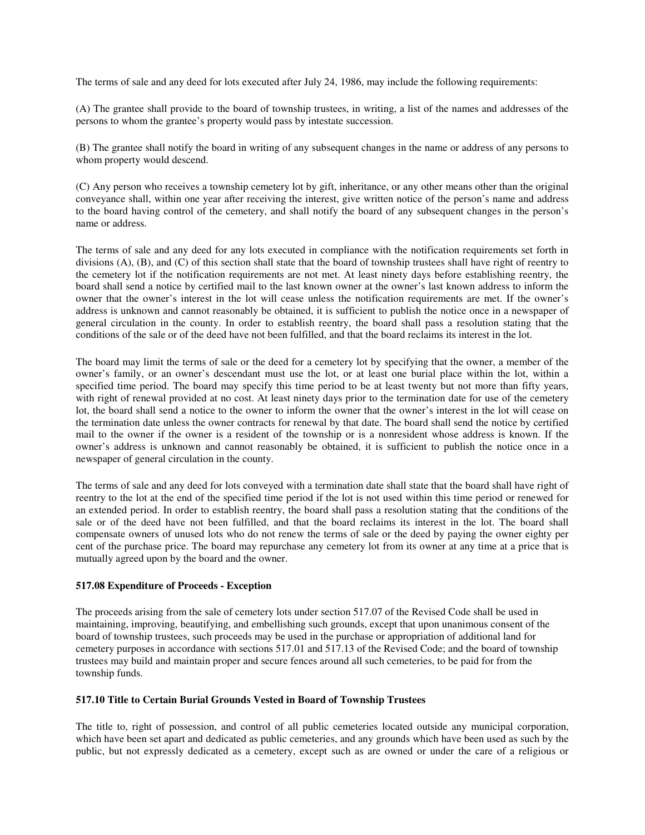The terms of sale and any deed for lots executed after July 24, 1986, may include the following requirements:

(A) The grantee shall provide to the board of township trustees, in writing, a list of the names and addresses of the persons to whom the grantee's property would pass by intestate succession.

(B) The grantee shall notify the board in writing of any subsequent changes in the name or address of any persons to whom property would descend.

(C) Any person who receives a township cemetery lot by gift, inheritance, or any other means other than the original conveyance shall, within one year after receiving the interest, give written notice of the person's name and address to the board having control of the cemetery, and shall notify the board of any subsequent changes in the person's name or address.

The terms of sale and any deed for any lots executed in compliance with the notification requirements set forth in divisions (A), (B), and (C) of this section shall state that the board of township trustees shall have right of reentry to the cemetery lot if the notification requirements are not met. At least ninety days before establishing reentry, the board shall send a notice by certified mail to the last known owner at the owner's last known address to inform the owner that the owner's interest in the lot will cease unless the notification requirements are met. If the owner's address is unknown and cannot reasonably be obtained, it is sufficient to publish the notice once in a newspaper of general circulation in the county. In order to establish reentry, the board shall pass a resolution stating that the conditions of the sale or of the deed have not been fulfilled, and that the board reclaims its interest in the lot.

The board may limit the terms of sale or the deed for a cemetery lot by specifying that the owner, a member of the owner's family, or an owner's descendant must use the lot, or at least one burial place within the lot, within a specified time period. The board may specify this time period to be at least twenty but not more than fifty years, with right of renewal provided at no cost. At least ninety days prior to the termination date for use of the cemetery lot, the board shall send a notice to the owner to inform the owner that the owner's interest in the lot will cease on the termination date unless the owner contracts for renewal by that date. The board shall send the notice by certified mail to the owner if the owner is a resident of the township or is a nonresident whose address is known. If the owner's address is unknown and cannot reasonably be obtained, it is sufficient to publish the notice once in a newspaper of general circulation in the county.

The terms of sale and any deed for lots conveyed with a termination date shall state that the board shall have right of reentry to the lot at the end of the specified time period if the lot is not used within this time period or renewed for an extended period. In order to establish reentry, the board shall pass a resolution stating that the conditions of the sale or of the deed have not been fulfilled, and that the board reclaims its interest in the lot. The board shall compensate owners of unused lots who do not renew the terms of sale or the deed by paying the owner eighty per cent of the purchase price. The board may repurchase any cemetery lot from its owner at any time at a price that is mutually agreed upon by the board and the owner.

# **517.08 Expenditure of Proceeds - Exception**

The proceeds arising from the sale of cemetery lots under section 517.07 of the Revised Code shall be used in maintaining, improving, beautifying, and embellishing such grounds, except that upon unanimous consent of the board of township trustees, such proceeds may be used in the purchase or appropriation of additional land for cemetery purposes in accordance with sections 517.01 and 517.13 of the Revised Code; and the board of township trustees may build and maintain proper and secure fences around all such cemeteries, to be paid for from the township funds.

### **517.10 Title to Certain Burial Grounds Vested in Board of Township Trustees**

The title to, right of possession, and control of all public cemeteries located outside any municipal corporation, which have been set apart and dedicated as public cemeteries, and any grounds which have been used as such by the public, but not expressly dedicated as a cemetery, except such as are owned or under the care of a religious or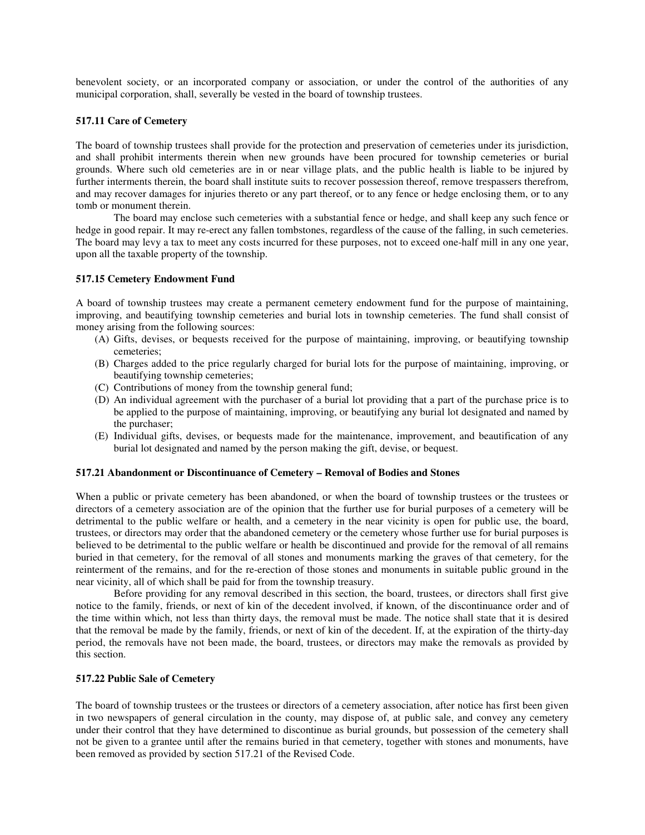benevolent society, or an incorporated company or association, or under the control of the authorities of any municipal corporation, shall, severally be vested in the board of township trustees.

## **517.11 Care of Cemetery**

The board of township trustees shall provide for the protection and preservation of cemeteries under its jurisdiction, and shall prohibit interments therein when new grounds have been procured for township cemeteries or burial grounds. Where such old cemeteries are in or near village plats, and the public health is liable to be injured by further interments therein, the board shall institute suits to recover possession thereof, remove trespassers therefrom, and may recover damages for injuries thereto or any part thereof, or to any fence or hedge enclosing them, or to any tomb or monument therein.

The board may enclose such cemeteries with a substantial fence or hedge, and shall keep any such fence or hedge in good repair. It may re-erect any fallen tombstones, regardless of the cause of the falling, in such cemeteries. The board may levy a tax to meet any costs incurred for these purposes, not to exceed one-half mill in any one year, upon all the taxable property of the township.

### **517.15 Cemetery Endowment Fund**

A board of township trustees may create a permanent cemetery endowment fund for the purpose of maintaining, improving, and beautifying township cemeteries and burial lots in township cemeteries. The fund shall consist of money arising from the following sources:

- (A) Gifts, devises, or bequests received for the purpose of maintaining, improving, or beautifying township cemeteries;
- (B) Charges added to the price regularly charged for burial lots for the purpose of maintaining, improving, or beautifying township cemeteries;
- (C) Contributions of money from the township general fund;
- (D) An individual agreement with the purchaser of a burial lot providing that a part of the purchase price is to be applied to the purpose of maintaining, improving, or beautifying any burial lot designated and named by the purchaser;
- (E) Individual gifts, devises, or bequests made for the maintenance, improvement, and beautification of any burial lot designated and named by the person making the gift, devise, or bequest.

### **517.21 Abandonment or Discontinuance of Cemetery – Removal of Bodies and Stones**

When a public or private cemetery has been abandoned, or when the board of township trustees or the trustees or directors of a cemetery association are of the opinion that the further use for burial purposes of a cemetery will be detrimental to the public welfare or health, and a cemetery in the near vicinity is open for public use, the board, trustees, or directors may order that the abandoned cemetery or the cemetery whose further use for burial purposes is believed to be detrimental to the public welfare or health be discontinued and provide for the removal of all remains buried in that cemetery, for the removal of all stones and monuments marking the graves of that cemetery, for the reinterment of the remains, and for the re-erection of those stones and monuments in suitable public ground in the near vicinity, all of which shall be paid for from the township treasury.

Before providing for any removal described in this section, the board, trustees, or directors shall first give notice to the family, friends, or next of kin of the decedent involved, if known, of the discontinuance order and of the time within which, not less than thirty days, the removal must be made. The notice shall state that it is desired that the removal be made by the family, friends, or next of kin of the decedent. If, at the expiration of the thirty-day period, the removals have not been made, the board, trustees, or directors may make the removals as provided by this section.

### **517.22 Public Sale of Cemetery**

The board of township trustees or the trustees or directors of a cemetery association, after notice has first been given in two newspapers of general circulation in the county, may dispose of, at public sale, and convey any cemetery under their control that they have determined to discontinue as burial grounds, but possession of the cemetery shall not be given to a grantee until after the remains buried in that cemetery, together with stones and monuments, have been removed as provided by section 517.21 of the Revised Code.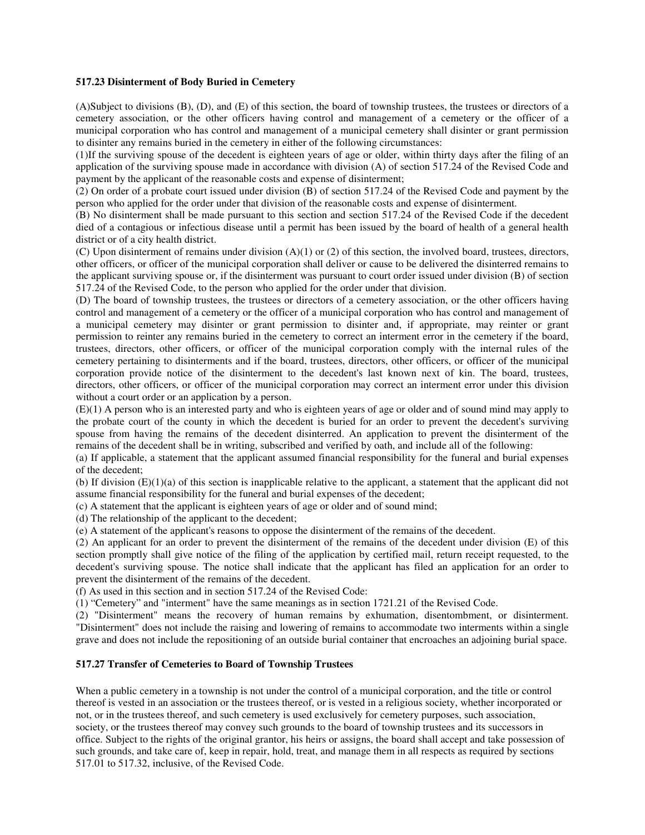## **517.23 Disinterment of Body Buried in Cemetery**

(A)Subject to divisions (B), (D), and (E) of this section, the board of township trustees, the trustees or directors of a cemetery association, or the other officers having control and management of a cemetery or the officer of a municipal corporation who has control and management of a municipal cemetery shall disinter or grant permission to disinter any remains buried in the cemetery in either of the following circumstances:

(1)If the surviving spouse of the decedent is eighteen years of age or older, within thirty days after the filing of an application of the surviving spouse made in accordance with division (A) of section 517.24 of the Revised Code and payment by the applicant of the reasonable costs and expense of disinterment;

(2) On order of a probate court issued under division (B) of section 517.24 of the Revised Code and payment by the person who applied for the order under that division of the reasonable costs and expense of disinterment.

(B) No disinterment shall be made pursuant to this section and section 517.24 of the Revised Code if the decedent died of a contagious or infectious disease until a permit has been issued by the board of health of a general health district or of a city health district.

(C) Upon disinterment of remains under division (A)(1) or (2) of this section, the involved board, trustees, directors, other officers, or officer of the municipal corporation shall deliver or cause to be delivered the disinterred remains to the applicant surviving spouse or, if the disinterment was pursuant to court order issued under division (B) of section 517.24 of the Revised Code, to the person who applied for the order under that division.

(D) The board of township trustees, the trustees or directors of a cemetery association, or the other officers having control and management of a cemetery or the officer of a municipal corporation who has control and management of a municipal cemetery may disinter or grant permission to disinter and, if appropriate, may reinter or grant permission to reinter any remains buried in the cemetery to correct an interment error in the cemetery if the board, trustees, directors, other officers, or officer of the municipal corporation comply with the internal rules of the cemetery pertaining to disinterments and if the board, trustees, directors, other officers, or officer of the municipal corporation provide notice of the disinterment to the decedent's last known next of kin. The board, trustees, directors, other officers, or officer of the municipal corporation may correct an interment error under this division without a court order or an application by a person.

(E)(1) A person who is an interested party and who is eighteen years of age or older and of sound mind may apply to the probate court of the county in which the decedent is buried for an order to prevent the decedent's surviving spouse from having the remains of the decedent disinterred. An application to prevent the disinterment of the remains of the decedent shall be in writing, subscribed and verified by oath, and include all of the following:

(a) If applicable, a statement that the applicant assumed financial responsibility for the funeral and burial expenses of the decedent;

(b) If division  $(E)(1)(a)$  of this section is inapplicable relative to the applicant, a statement that the applicant did not assume financial responsibility for the funeral and burial expenses of the decedent;

(c) A statement that the applicant is eighteen years of age or older and of sound mind;

(d) The relationship of the applicant to the decedent;

(e) A statement of the applicant's reasons to oppose the disinterment of the remains of the decedent.

(2) An applicant for an order to prevent the disinterment of the remains of the decedent under division (E) of this section promptly shall give notice of the filing of the application by certified mail, return receipt requested, to the decedent's surviving spouse. The notice shall indicate that the applicant has filed an application for an order to prevent the disinterment of the remains of the decedent.

(f) As used in this section and in section 517.24 of the Revised Code:

(1) "Cemetery" and "interment" have the same meanings as in section 1721.21 of the Revised Code.

(2) "Disinterment" means the recovery of human remains by exhumation, disentombment, or disinterment. "Disinterment" does not include the raising and lowering of remains to accommodate two interments within a single grave and does not include the repositioning of an outside burial container that encroaches an adjoining burial space.

# **517.27 Transfer of Cemeteries to Board of Township Trustees**

When a public cemetery in a township is not under the control of a municipal corporation, and the title or control thereof is vested in an association or the trustees thereof, or is vested in a religious society, whether incorporated or not, or in the trustees thereof, and such cemetery is used exclusively for cemetery purposes, such association, society, or the trustees thereof may convey such grounds to the board of township trustees and its successors in office. Subject to the rights of the original grantor, his heirs or assigns, the board shall accept and take possession of such grounds, and take care of, keep in repair, hold, treat, and manage them in all respects as required by sections 517.01 to 517.32, inclusive, of the Revised Code.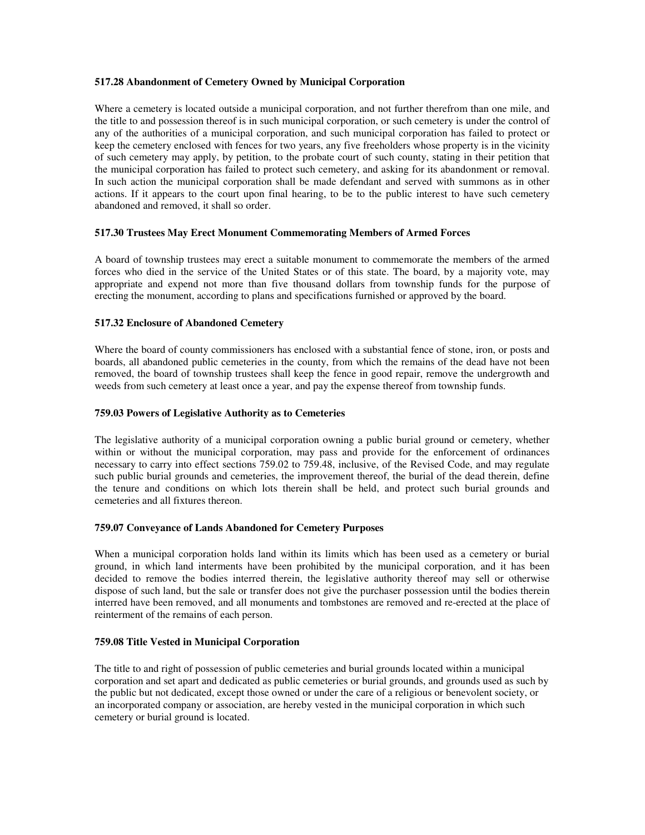## **517.28 Abandonment of Cemetery Owned by Municipal Corporation**

Where a cemetery is located outside a municipal corporation, and not further therefrom than one mile, and the title to and possession thereof is in such municipal corporation, or such cemetery is under the control of any of the authorities of a municipal corporation, and such municipal corporation has failed to protect or keep the cemetery enclosed with fences for two years, any five freeholders whose property is in the vicinity of such cemetery may apply, by petition, to the probate court of such county, stating in their petition that the municipal corporation has failed to protect such cemetery, and asking for its abandonment or removal. In such action the municipal corporation shall be made defendant and served with summons as in other actions. If it appears to the court upon final hearing, to be to the public interest to have such cemetery abandoned and removed, it shall so order.

## **517.30 Trustees May Erect Monument Commemorating Members of Armed Forces**

A board of township trustees may erect a suitable monument to commemorate the members of the armed forces who died in the service of the United States or of this state. The board, by a majority vote, may appropriate and expend not more than five thousand dollars from township funds for the purpose of erecting the monument, according to plans and specifications furnished or approved by the board.

## **517.32 Enclosure of Abandoned Cemetery**

Where the board of county commissioners has enclosed with a substantial fence of stone, iron, or posts and boards, all abandoned public cemeteries in the county, from which the remains of the dead have not been removed, the board of township trustees shall keep the fence in good repair, remove the undergrowth and weeds from such cemetery at least once a year, and pay the expense thereof from township funds.

## **759.03 Powers of Legislative Authority as to Cemeteries**

The legislative authority of a municipal corporation owning a public burial ground or cemetery, whether within or without the municipal corporation, may pass and provide for the enforcement of ordinances necessary to carry into effect sections 759.02 to 759.48, inclusive, of the Revised Code, and may regulate such public burial grounds and cemeteries, the improvement thereof, the burial of the dead therein, define the tenure and conditions on which lots therein shall be held, and protect such burial grounds and cemeteries and all fixtures thereon.

### **759.07 Conveyance of Lands Abandoned for Cemetery Purposes**

When a municipal corporation holds land within its limits which has been used as a cemetery or burial ground, in which land interments have been prohibited by the municipal corporation, and it has been decided to remove the bodies interred therein, the legislative authority thereof may sell or otherwise dispose of such land, but the sale or transfer does not give the purchaser possession until the bodies therein interred have been removed, and all monuments and tombstones are removed and re-erected at the place of reinterment of the remains of each person.

### **759.08 Title Vested in Municipal Corporation**

The title to and right of possession of public cemeteries and burial grounds located within a municipal corporation and set apart and dedicated as public cemeteries or burial grounds, and grounds used as such by the public but not dedicated, except those owned or under the care of a religious or benevolent society, or an incorporated company or association, are hereby vested in the municipal corporation in which such cemetery or burial ground is located.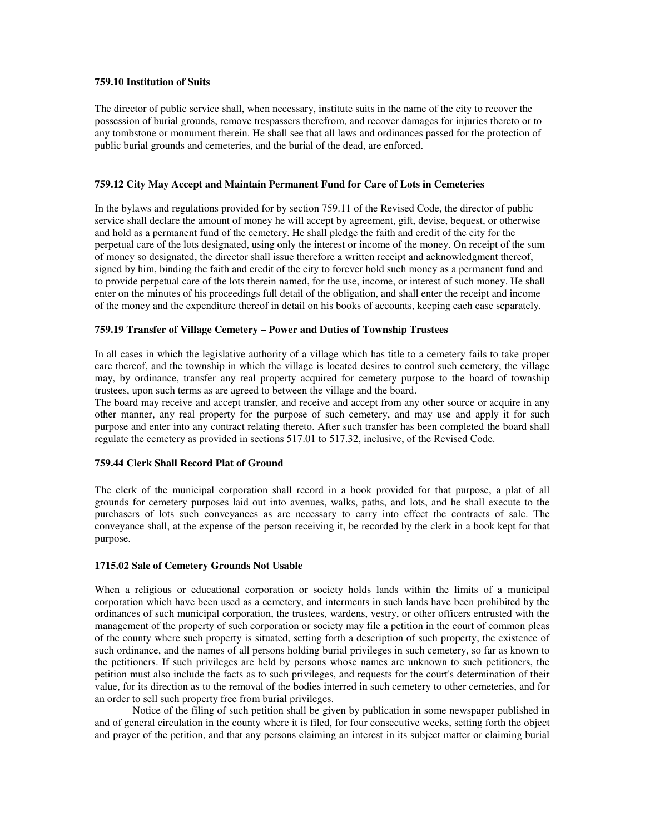## **759.10 Institution of Suits**

The director of public service shall, when necessary, institute suits in the name of the city to recover the possession of burial grounds, remove trespassers therefrom, and recover damages for injuries thereto or to any tombstone or monument therein. He shall see that all laws and ordinances passed for the protection of public burial grounds and cemeteries, and the burial of the dead, are enforced.

## **759.12 City May Accept and Maintain Permanent Fund for Care of Lots in Cemeteries**

In the bylaws and regulations provided for by section 759.11 of the Revised Code, the director of public service shall declare the amount of money he will accept by agreement, gift, devise, bequest, or otherwise and hold as a permanent fund of the cemetery. He shall pledge the faith and credit of the city for the perpetual care of the lots designated, using only the interest or income of the money. On receipt of the sum of money so designated, the director shall issue therefore a written receipt and acknowledgment thereof, signed by him, binding the faith and credit of the city to forever hold such money as a permanent fund and to provide perpetual care of the lots therein named, for the use, income, or interest of such money. He shall enter on the minutes of his proceedings full detail of the obligation, and shall enter the receipt and income of the money and the expenditure thereof in detail on his books of accounts, keeping each case separately.

## **759.19 Transfer of Village Cemetery – Power and Duties of Township Trustees**

In all cases in which the legislative authority of a village which has title to a cemetery fails to take proper care thereof, and the township in which the village is located desires to control such cemetery, the village may, by ordinance, transfer any real property acquired for cemetery purpose to the board of township trustees, upon such terms as are agreed to between the village and the board.

The board may receive and accept transfer, and receive and accept from any other source or acquire in any other manner, any real property for the purpose of such cemetery, and may use and apply it for such purpose and enter into any contract relating thereto. After such transfer has been completed the board shall regulate the cemetery as provided in sections 517.01 to 517.32, inclusive, of the Revised Code.

### **759.44 Clerk Shall Record Plat of Ground**

The clerk of the municipal corporation shall record in a book provided for that purpose, a plat of all grounds for cemetery purposes laid out into avenues, walks, paths, and lots, and he shall execute to the purchasers of lots such conveyances as are necessary to carry into effect the contracts of sale. The conveyance shall, at the expense of the person receiving it, be recorded by the clerk in a book kept for that purpose.

### **1715.02 Sale of Cemetery Grounds Not Usable**

When a religious or educational corporation or society holds lands within the limits of a municipal corporation which have been used as a cemetery, and interments in such lands have been prohibited by the ordinances of such municipal corporation, the trustees, wardens, vestry, or other officers entrusted with the management of the property of such corporation or society may file a petition in the court of common pleas of the county where such property is situated, setting forth a description of such property, the existence of such ordinance, and the names of all persons holding burial privileges in such cemetery, so far as known to the petitioners. If such privileges are held by persons whose names are unknown to such petitioners, the petition must also include the facts as to such privileges, and requests for the court's determination of their value, for its direction as to the removal of the bodies interred in such cemetery to other cemeteries, and for an order to sell such property free from burial privileges.

Notice of the filing of such petition shall be given by publication in some newspaper published in and of general circulation in the county where it is filed, for four consecutive weeks, setting forth the object and prayer of the petition, and that any persons claiming an interest in its subject matter or claiming burial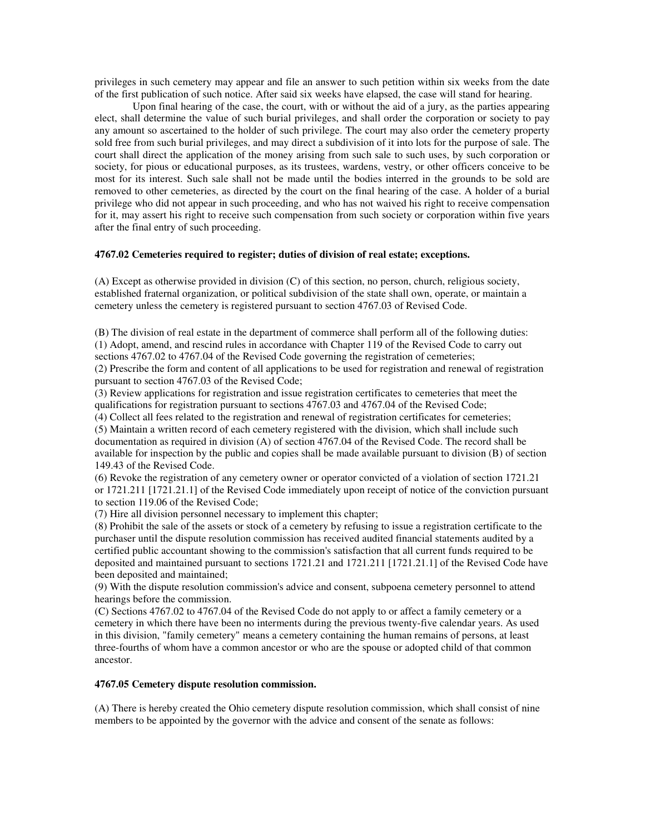privileges in such cemetery may appear and file an answer to such petition within six weeks from the date of the first publication of such notice. After said six weeks have elapsed, the case will stand for hearing.

Upon final hearing of the case, the court, with or without the aid of a jury, as the parties appearing elect, shall determine the value of such burial privileges, and shall order the corporation or society to pay any amount so ascertained to the holder of such privilege. The court may also order the cemetery property sold free from such burial privileges, and may direct a subdivision of it into lots for the purpose of sale. The court shall direct the application of the money arising from such sale to such uses, by such corporation or society, for pious or educational purposes, as its trustees, wardens, vestry, or other officers conceive to be most for its interest. Such sale shall not be made until the bodies interred in the grounds to be sold are removed to other cemeteries, as directed by the court on the final hearing of the case. A holder of a burial privilege who did not appear in such proceeding, and who has not waived his right to receive compensation for it, may assert his right to receive such compensation from such society or corporation within five years after the final entry of such proceeding.

## **4767.02 Cemeteries required to register; duties of division of real estate; exceptions.**

(A) Except as otherwise provided in division (C) of this section, no person, church, religious society, established fraternal organization, or political subdivision of the state shall own, operate, or maintain a cemetery unless the cemetery is registered pursuant to section 4767.03 of Revised Code.

(B) The division of real estate in the department of commerce shall perform all of the following duties: (1) Adopt, amend, and rescind rules in accordance with Chapter 119 of the Revised Code to carry out sections 4767.02 to 4767.04 of the Revised Code governing the registration of cemeteries;

(2) Prescribe the form and content of all applications to be used for registration and renewal of registration pursuant to section 4767.03 of the Revised Code;

(3) Review applications for registration and issue registration certificates to cemeteries that meet the qualifications for registration pursuant to sections 4767.03 and 4767.04 of the Revised Code;

(4) Collect all fees related to the registration and renewal of registration certificates for cemeteries;

(5) Maintain a written record of each cemetery registered with the division, which shall include such documentation as required in division (A) of section 4767.04 of the Revised Code. The record shall be available for inspection by the public and copies shall be made available pursuant to division (B) of section 149.43 of the Revised Code.

(6) Revoke the registration of any cemetery owner or operator convicted of a violation of section 1721.21 or 1721.211 [1721.21.1] of the Revised Code immediately upon receipt of notice of the conviction pursuant to section 119.06 of the Revised Code;

(7) Hire all division personnel necessary to implement this chapter;

(8) Prohibit the sale of the assets or stock of a cemetery by refusing to issue a registration certificate to the purchaser until the dispute resolution commission has received audited financial statements audited by a certified public accountant showing to the commission's satisfaction that all current funds required to be deposited and maintained pursuant to sections 1721.21 and 1721.211 [1721.21.1] of the Revised Code have been deposited and maintained;

(9) With the dispute resolution commission's advice and consent, subpoena cemetery personnel to attend hearings before the commission.

(C) Sections 4767.02 to 4767.04 of the Revised Code do not apply to or affect a family cemetery or a cemetery in which there have been no interments during the previous twenty-five calendar years. As used in this division, "family cemetery" means a cemetery containing the human remains of persons, at least three-fourths of whom have a common ancestor or who are the spouse or adopted child of that common ancestor.

#### **4767.05 Cemetery dispute resolution commission.**

(A) There is hereby created the Ohio cemetery dispute resolution commission, which shall consist of nine members to be appointed by the governor with the advice and consent of the senate as follows: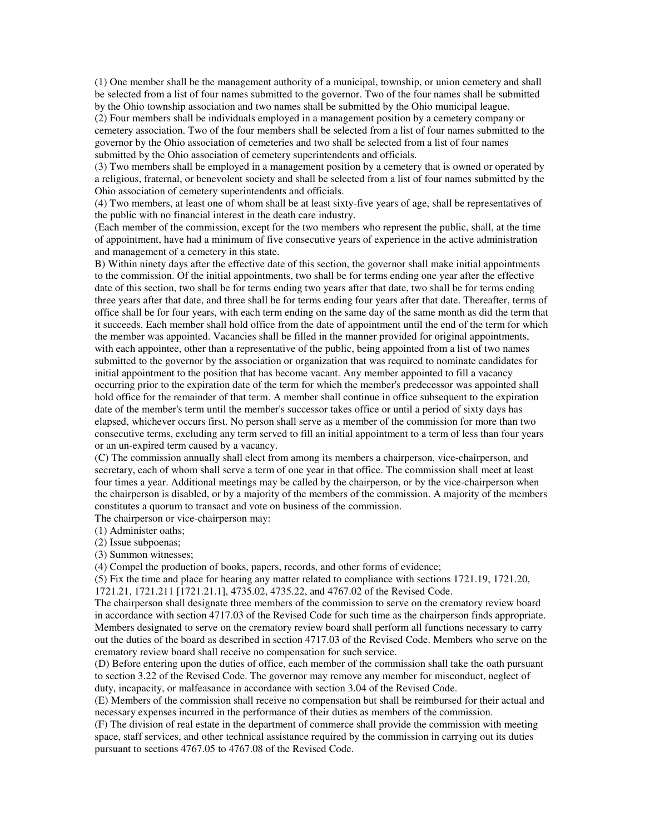(1) One member shall be the management authority of a municipal, township, or union cemetery and shall be selected from a list of four names submitted to the governor. Two of the four names shall be submitted by the Ohio township association and two names shall be submitted by the Ohio municipal league.

(2) Four members shall be individuals employed in a management position by a cemetery company or cemetery association. Two of the four members shall be selected from a list of four names submitted to the governor by the Ohio association of cemeteries and two shall be selected from a list of four names submitted by the Ohio association of cemetery superintendents and officials.

(3) Two members shall be employed in a management position by a cemetery that is owned or operated by a religious, fraternal, or benevolent society and shall be selected from a list of four names submitted by the Ohio association of cemetery superintendents and officials.

(4) Two members, at least one of whom shall be at least sixty-five years of age, shall be representatives of the public with no financial interest in the death care industry.

(Each member of the commission, except for the two members who represent the public, shall, at the time of appointment, have had a minimum of five consecutive years of experience in the active administration and management of a cemetery in this state.

B) Within ninety days after the effective date of this section, the governor shall make initial appointments to the commission. Of the initial appointments, two shall be for terms ending one year after the effective date of this section, two shall be for terms ending two years after that date, two shall be for terms ending three years after that date, and three shall be for terms ending four years after that date. Thereafter, terms of office shall be for four years, with each term ending on the same day of the same month as did the term that it succeeds. Each member shall hold office from the date of appointment until the end of the term for which the member was appointed. Vacancies shall be filled in the manner provided for original appointments, with each appointee, other than a representative of the public, being appointed from a list of two names submitted to the governor by the association or organization that was required to nominate candidates for initial appointment to the position that has become vacant. Any member appointed to fill a vacancy occurring prior to the expiration date of the term for which the member's predecessor was appointed shall hold office for the remainder of that term. A member shall continue in office subsequent to the expiration date of the member's term until the member's successor takes office or until a period of sixty days has elapsed, whichever occurs first. No person shall serve as a member of the commission for more than two consecutive terms, excluding any term served to fill an initial appointment to a term of less than four years or an un-expired term caused by a vacancy.

(C) The commission annually shall elect from among its members a chairperson, vice-chairperson, and secretary, each of whom shall serve a term of one year in that office. The commission shall meet at least four times a year. Additional meetings may be called by the chairperson, or by the vice-chairperson when the chairperson is disabled, or by a majority of the members of the commission. A majority of the members constitutes a quorum to transact and vote on business of the commission.

The chairperson or vice-chairperson may:

(1) Administer oaths;

(2) Issue subpoenas;

(3) Summon witnesses;

(4) Compel the production of books, papers, records, and other forms of evidence;

(5) Fix the time and place for hearing any matter related to compliance with sections 1721.19, 1721.20, 1721.21, 1721.211 [1721.21.1], 4735.02, 4735.22, and 4767.02 of the Revised Code.

The chairperson shall designate three members of the commission to serve on the crematory review board in accordance with section 4717.03 of the Revised Code for such time as the chairperson finds appropriate. Members designated to serve on the crematory review board shall perform all functions necessary to carry out the duties of the board as described in section 4717.03 of the Revised Code. Members who serve on the crematory review board shall receive no compensation for such service.

(D) Before entering upon the duties of office, each member of the commission shall take the oath pursuant to section 3.22 of the Revised Code. The governor may remove any member for misconduct, neglect of duty, incapacity, or malfeasance in accordance with section 3.04 of the Revised Code.

(E) Members of the commission shall receive no compensation but shall be reimbursed for their actual and necessary expenses incurred in the performance of their duties as members of the commission.

(F) The division of real estate in the department of commerce shall provide the commission with meeting space, staff services, and other technical assistance required by the commission in carrying out its duties pursuant to sections 4767.05 to 4767.08 of the Revised Code.